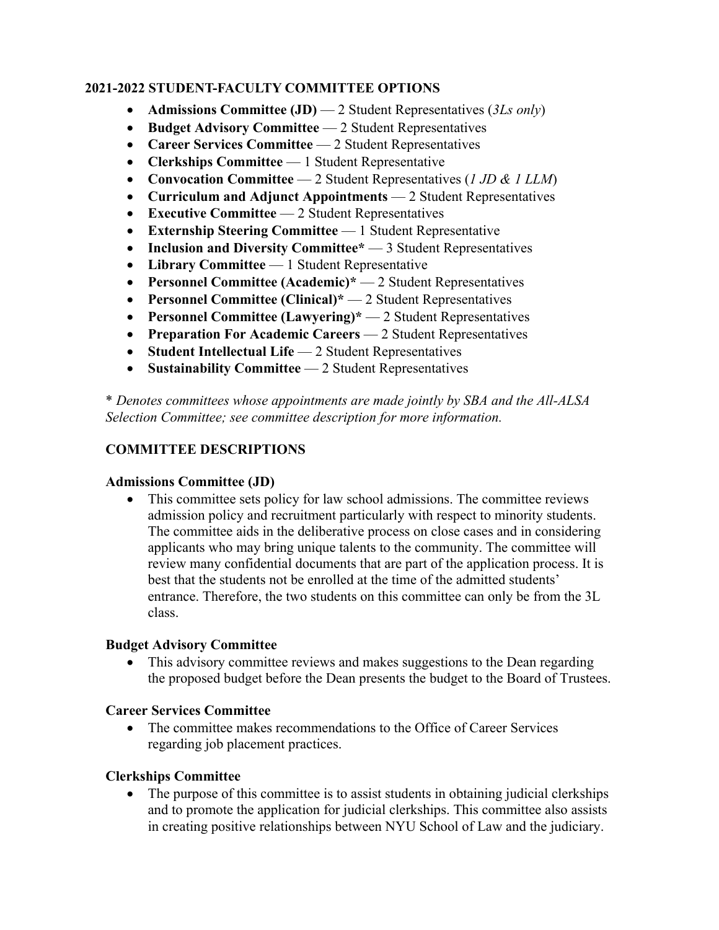# **2020-2021 STUDENT-FACULTY COMMITTEE OPTIONS 2021-2022 STUDENT-FACULTY COMMITTEE OPTIONS**

- **Admissions Committee (JD)** 2 Student Representatives (3Ls only)
- **Budget Advisory Committee** 2 Student Representatives
- **Career Services Committee** 2 Student Representatives
- **Clerkships Committee**  1 Student Representative
- **Convocation Committee**  2 Student Representatives (*1 JD & 1 LLM*)
- **Curriculum and Adjunct Appointments**  2 Student Representatives
- **Executive Committee**  2 Student Representatives
- **Externship Steering Committee** 1 Student Representative
- **Inclusion and Diversity Committee**<sup>\*</sup> 3 Student Representatives
- **Library Committee**  1 Student Representative
- **Personnel Committee (Academic)\***  2 Student Representatives
- **Personnel Committee (Clinical)\*** 2 Student Representatives
- **Personnel Committee (Lawyering)\*** 2 Student Representatives
- **Preparation For Academic Careers** 2 Student Representatives
- **Student Intellectual Life** 2 Student Representatives
- **Sustainability Committee** 2 Student Representatives

\* *Denotes committees whose appointments are made jointly by SBA and the All-ALSA Selection Committee; see committee description for more information.*

# **COMMITTEE DESCRIPTIONS**

# **Admissions Committee (JD)**

• This committee sets policy for law school admissions. The committee reviews admission policy and recruitment particularly with respect to minority students. The committee aids in the deliberative process on close cases and in considering applicants who may bring unique talents to the community. The committee will review many confidential documents that are part of the application process. It is best that the students not be enrolled at the time of the admitted students' entrance. Therefore, the two students on this committee can only be from the 3L class.

# **Budget Advisory Committee**

• This advisory committee reviews and makes suggestions to the Dean regarding the proposed budget before the Dean presents the budget to the Board of Trustees.

# **Career Services Committee**

• The committee makes recommendations to the Office of Career Services regarding job placement practices.

# **Clerkships Committee**

• The purpose of this committee is to assist students in obtaining judicial clerkships and to promote the application for judicial clerkships. This committee also assists in creating positive relationships between NYU School of Law and the judiciary.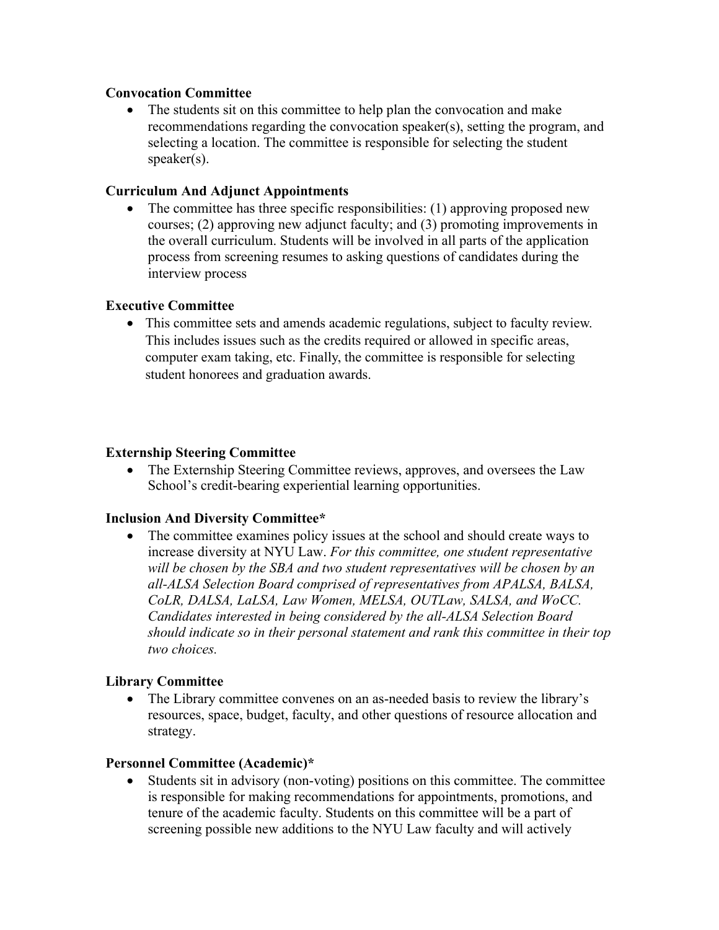## **Convocation Committee**

• The students sit on this committee to help plan the convocation and make recommendations regarding the convocation speaker(s), setting the program, and selecting a location. The committee is responsible for selecting the student speaker(s).

# **Curriculum And Adjunct Appointments**

• The committee has three specific responsibilities: (1) approving proposed new courses; (2) approving new adjunct faculty; and (3) promoting improvements in the overall curriculum. Students will be involved in all parts of the application process from screening resumes to asking questions of candidates during the interview process

# **Executive Committee**

• This committee sets and amends academic regulations, subject to faculty review. This committee sets and amends academic regulations, subject to faculty review. This includes issues such as the credits required or allowed in specific areas, This includes issues such as the credits required or allowed in specific areas, computer exam taking, etc. Finally, the committee is responsible for selecting student honorees and graduation awards. for purposes requiring formal discipline. (See the Student Handbook for details).

## **Externship Steering Committee**

• The Externship Steering Committee reviews, approves, and oversees the Law School's credit-bearing experiential learning opportunities.

## **Inclusion And Diversity Committee\***

• The committee examines policy issues at the school and should create ways to increase diversity at NYU Law. *For this committee, one student representative will be chosen by the SBA and two student representatives will be chosen by an all-ALSA Selection Board comprised of representatives from APALSA, BALSA, CoLR, DALSA, LaLSA, Law Women, MELSA, OUTLaw, SALSA, and WoCC. Candidates interested in being considered by the all-ALSA Selection Board should indicate so in their personal statement and rank this committee in their top two choices.*

# **Library Committee**

• The Library committee convenes on an as-needed basis to review the library's resources, space, budget, faculty, and other questions of resource allocation and strategy.

## **Personnel Committee (Academic)\***

• Students sit in advisory (non-voting) positions on this committee. The committee is responsible for making recommendations for appointments, promotions, and tenure of the academic faculty. Students on this committee will be a part of screening possible new additions to the NYU Law faculty and will actively